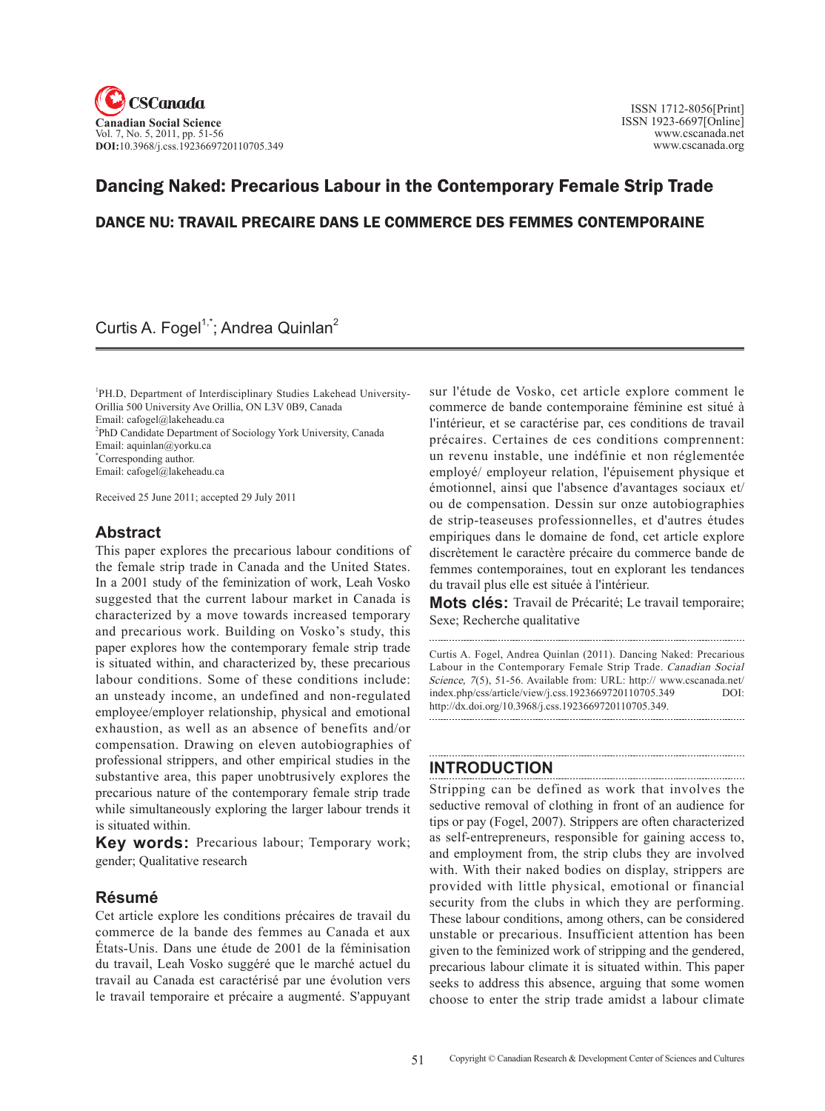

# Dancing Naked: Precarious Labour in the Contemporary Female Strip Trade DANCE NU: TRAVAIL PRECAIRE DANS LE COMMERCE DES FEMMES CONTEMPORAINE

### Curtis A. Fogel<sup>1,\*</sup>; Andrea Quinlan<sup>2</sup>

<sup>1</sup>PH.D, Department of Interdisciplinary Studies Lakehead University-Orillia 500 University Ave Orillia, ON L3V 0B9, Canada Email: cafogel@lakeheadu.ca

<sup>2</sup>PhD Candidate Department of Sociology York University, Canada Email: aquinlan@yorku.ca

\* Corresponding author.

Email: cafogel@lakeheadu.ca

Received 25 June 2011; accepted 29 July 2011

### **Abstract**

This paper explores the precarious labour conditions of the female strip trade in Canada and the United States. In a 2001 study of the feminization of work, Leah Vosko suggested that the current labour market in Canada is characterized by a move towards increased temporary and precarious work. Building on Vosko's study, this paper explores how the contemporary female strip trade is situated within, and characterized by, these precarious labour conditions. Some of these conditions include: an unsteady income, an undefined and non-regulated employee/employer relationship, physical and emotional exhaustion, as well as an absence of benefits and/or compensation. Drawing on eleven autobiographies of professional strippers, and other empirical studies in the substantive area, this paper unobtrusively explores the precarious nature of the contemporary female strip trade while simultaneously exploring the larger labour trends it is situated within.

**Key words:** Precarious labour; Temporary work; gender; Qualitative research

#### **Résumé**

Cet article explore les conditions précaires de travail du commerce de la bande des femmes au Canada et aux États-Unis. Dans une étude de 2001 de la féminisation du travail, Leah Vosko suggéré que le marché actuel du travail au Canada est caractérisé par une évolution vers le travail temporaire et précaire a augmenté. S'appuyant sur l'étude de Vosko, cet article explore comment le commerce de bande contemporaine féminine est situé à l'intérieur, et se caractérise par, ces conditions de travail précaires. Certaines de ces conditions comprennent: un revenu instable, une indéfinie et non réglementée employé/ employeur relation, l'épuisement physique et émotionnel, ainsi que l'absence d'avantages sociaux et/ ou de compensation. Dessin sur onze autobiographies de strip-teaseuses professionnelles, et d'autres études empiriques dans le domaine de fond, cet article explore discrètement le caractère précaire du commerce bande de femmes contemporaines, tout en explorant les tendances du travail plus elle est située à l'intérieur.

**Mots clés:** Travail de Précarité; Le travail temporaire; Sexe; Recherche qualitative

Curtis A. Fogel, Andrea Quinlan (2011). Dancing Naked: Precarious Labour in the Contemporary Female Strip Trade. Canadian Social Science, 7(5), 51-56. Available from: URL: http:// www.cscanada.net/ index.php/css/article/view/j.css.1923669720110705.349 DOI: http://dx.doi.org/10.3968/j.css.1923669720110705.349.

### **Introduction**

Stripping can be defined as work that involves the seductive removal of clothing in front of an audience for tips or pay (Fogel, 2007). Strippers are often characterized as self-entrepreneurs, responsible for gaining access to, and employment from, the strip clubs they are involved with. With their naked bodies on display, strippers are provided with little physical, emotional or financial security from the clubs in which they are performing. These labour conditions, among others, can be considered unstable or precarious. Insufficient attention has been given to the feminized work of stripping and the gendered, precarious labour climate it is situated within. This paper seeks to address this absence, arguing that some women choose to enter the strip trade amidst a labour climate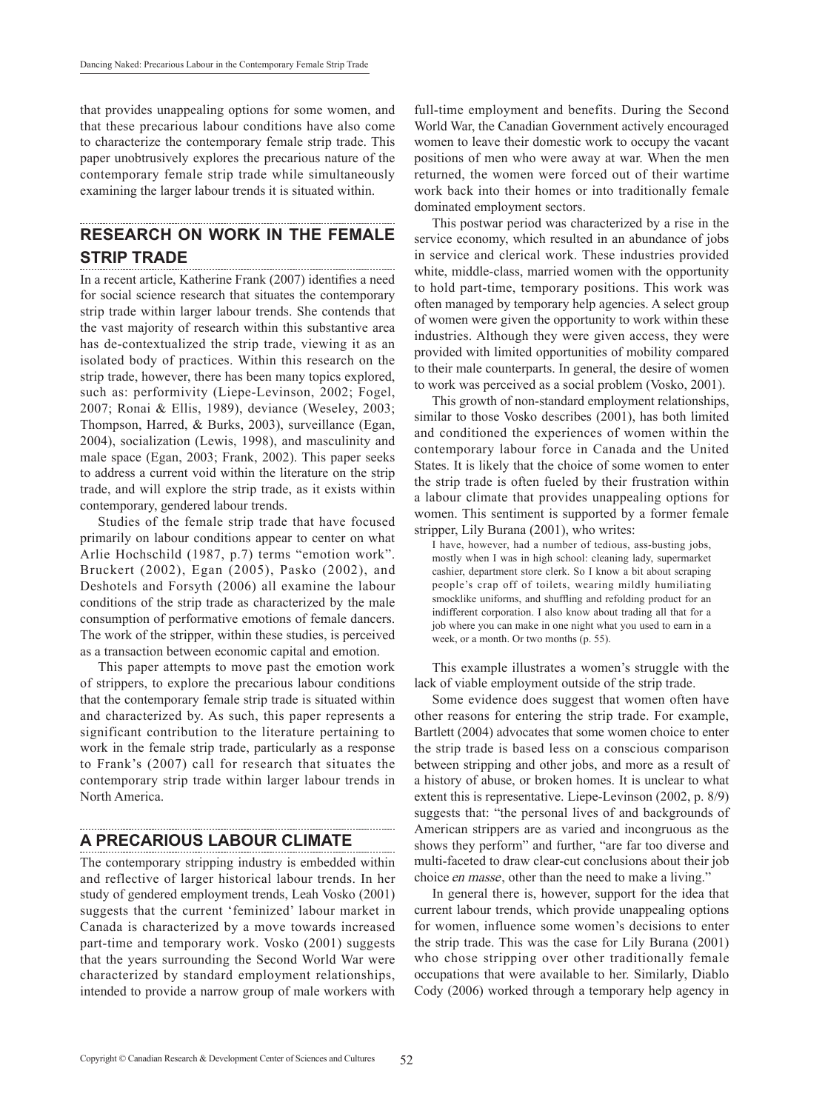that provides unappealing options for some women, and that these precarious labour conditions have also come to characterize the contemporary female strip trade. This paper unobtrusively explores the precarious nature of the contemporary female strip trade while simultaneously examining the larger labour trends it is situated within.

### **Research on Work in the Female Strip Trade**

In a recent article, Katherine Frank (2007) identifies a need for social science research that situates the contemporary strip trade within larger labour trends. She contends that the vast majority of research within this substantive area has de-contextualized the strip trade, viewing it as an isolated body of practices. Within this research on the strip trade, however, there has been many topics explored, such as: performivity (Liepe-Levinson, 2002; Fogel, 2007; Ronai & Ellis, 1989), deviance (Weseley, 2003; Thompson, Harred, & Burks, 2003), surveillance (Egan, 2004), socialization (Lewis, 1998), and masculinity and male space (Egan, 2003; Frank, 2002). This paper seeks to address a current void within the literature on the strip trade, and will explore the strip trade, as it exists within contemporary, gendered labour trends.

Studies of the female strip trade that have focused primarily on labour conditions appear to center on what Arlie Hochschild (1987, p.7) terms "emotion work". Bruckert (2002), Egan (2005), Pasko (2002), and Deshotels and Forsyth (2006) all examine the labour conditions of the strip trade as characterized by the male consumption of performative emotions of female dancers. The work of the stripper, within these studies, is perceived as a transaction between economic capital and emotion.

This paper attempts to move past the emotion work of strippers, to explore the precarious labour conditions that the contemporary female strip trade is situated within and characterized by. As such, this paper represents a significant contribution to the literature pertaining to work in the female strip trade, particularly as a response to Frank's (2007) call for research that situates the contemporary strip trade within larger labour trends in North America.

#### **A Precarious Labour Climate**

The contemporary stripping industry is embedded within and reflective of larger historical labour trends. In her study of gendered employment trends, Leah Vosko (2001) suggests that the current 'feminized' labour market in Canada is characterized by a move towards increased part-time and temporary work. Vosko (2001) suggests that the years surrounding the Second World War were characterized by standard employment relationships, intended to provide a narrow group of male workers with

full-time employment and benefits. During the Second World War, the Canadian Government actively encouraged women to leave their domestic work to occupy the vacant positions of men who were away at war. When the men returned, the women were forced out of their wartime work back into their homes or into traditionally female dominated employment sectors.

This postwar period was characterized by a rise in the service economy, which resulted in an abundance of jobs in service and clerical work. These industries provided white, middle-class, married women with the opportunity to hold part-time, temporary positions. This work was often managed by temporary help agencies. A select group of women were given the opportunity to work within these industries. Although they were given access, they were provided with limited opportunities of mobility compared to their male counterparts. In general, the desire of women to work was perceived as a social problem (Vosko, 2001).

This growth of non-standard employment relationships, similar to those Vosko describes (2001), has both limited and conditioned the experiences of women within the contemporary labour force in Canada and the United States. It is likely that the choice of some women to enter the strip trade is often fueled by their frustration within a labour climate that provides unappealing options for women. This sentiment is supported by a former female stripper, Lily Burana (2001), who writes:

I have, however, had a number of tedious, ass-busting jobs, mostly when I was in high school: cleaning lady, supermarket cashier, department store clerk. So I know a bit about scraping people's crap off of toilets, wearing mildly humiliating smocklike uniforms, and shuffling and refolding product for an indifferent corporation. I also know about trading all that for a job where you can make in one night what you used to earn in a week, or a month. Or two months (p. 55).

This example illustrates a women's struggle with the lack of viable employment outside of the strip trade.

Some evidence does suggest that women often have other reasons for entering the strip trade. For example, Bartlett (2004) advocates that some women choice to enter the strip trade is based less on a conscious comparison between stripping and other jobs, and more as a result of a history of abuse, or broken homes. It is unclear to what extent this is representative. Liepe-Levinson (2002, p. 8/9) suggests that: "the personal lives of and backgrounds of American strippers are as varied and incongruous as the shows they perform" and further, "are far too diverse and multi-faceted to draw clear-cut conclusions about their job choice en masse, other than the need to make a living."

In general there is, however, support for the idea that current labour trends, which provide unappealing options for women, influence some women's decisions to enter the strip trade. This was the case for Lily Burana (2001) who chose stripping over other traditionally female occupations that were available to her. Similarly, Diablo Cody (2006) worked through a temporary help agency in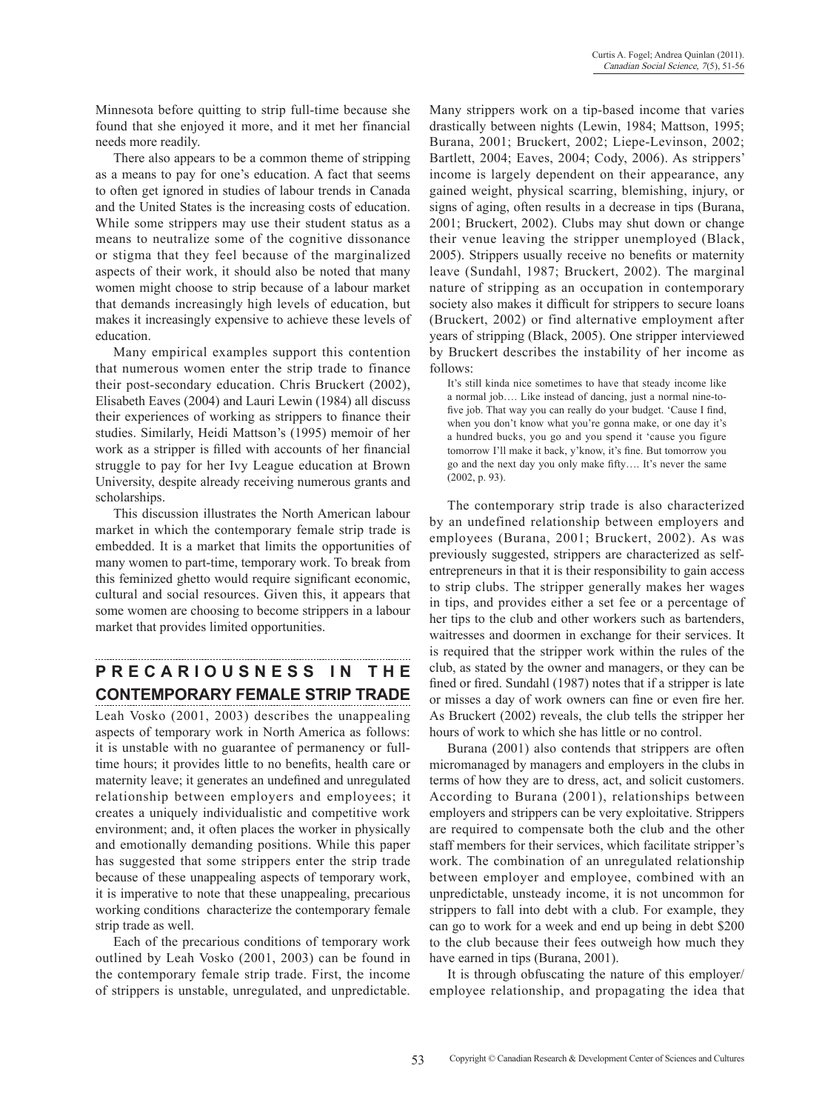Minnesota before quitting to strip full-time because she found that she enjoyed it more, and it met her financial needs more readily.

There also appears to be a common theme of stripping as a means to pay for one's education. A fact that seems to often get ignored in studies of labour trends in Canada and the United States is the increasing costs of education. While some strippers may use their student status as a means to neutralize some of the cognitive dissonance or stigma that they feel because of the marginalized aspects of their work, it should also be noted that many women might choose to strip because of a labour market that demands increasingly high levels of education, but makes it increasingly expensive to achieve these levels of education.

Many empirical examples support this contention that numerous women enter the strip trade to finance their post-secondary education. Chris Bruckert (2002), Elisabeth Eaves (2004) and Lauri Lewin (1984) all discuss their experiences of working as strippers to finance their studies. Similarly, Heidi Mattson's (1995) memoir of her work as a stripper is filled with accounts of her financial struggle to pay for her Ivy League education at Brown University, despite already receiving numerous grants and scholarships.

This discussion illustrates the North American labour market in which the contemporary female strip trade is embedded. It is a market that limits the opportunities of many women to part-time, temporary work. To break from this feminized ghetto would require significant economic, cultural and social resources. Given this, it appears that some women are choosing to become strippers in a labour market that provides limited opportunities.

## **P recariou s ne ss in the Contemporary Female Strip Trade**

Leah Vosko (2001, 2003) describes the unappealing aspects of temporary work in North America as follows: it is unstable with no guarantee of permanency or fulltime hours; it provides little to no benefits, health care or maternity leave; it generates an undefined and unregulated relationship between employers and employees; it creates a uniquely individualistic and competitive work environment; and, it often places the worker in physically and emotionally demanding positions. While this paper has suggested that some strippers enter the strip trade because of these unappealing aspects of temporary work, it is imperative to note that these unappealing, precarious working conditions characterize the contemporary female strip trade as well.

Each of the precarious conditions of temporary work outlined by Leah Vosko (2001, 2003) can be found in the contemporary female strip trade. First, the income of strippers is unstable, unregulated, and unpredictable.

Many strippers work on a tip-based income that varies drastically between nights (Lewin, 1984; Mattson, 1995; Burana, 2001; Bruckert, 2002; Liepe-Levinson, 2002; Bartlett, 2004; Eaves, 2004; Cody, 2006). As strippers' income is largely dependent on their appearance, any gained weight, physical scarring, blemishing, injury, or signs of aging, often results in a decrease in tips (Burana, 2001; Bruckert, 2002). Clubs may shut down or change their venue leaving the stripper unemployed (Black, 2005). Strippers usually receive no benefits or maternity leave (Sundahl, 1987; Bruckert, 2002). The marginal nature of stripping as an occupation in contemporary society also makes it difficult for strippers to secure loans (Bruckert, 2002) or find alternative employment after years of stripping (Black, 2005). One stripper interviewed by Bruckert describes the instability of her income as follows:

It's still kinda nice sometimes to have that steady income like a normal job…. Like instead of dancing, just a normal nine-tofive job. That way you can really do your budget. 'Cause I find, when you don't know what you're gonna make, or one day it's a hundred bucks, you go and you spend it 'cause you figure tomorrow I'll make it back, y'know, it's fine. But tomorrow you go and the next day you only make fifty…. It's never the same (2002, p. 93).

The contemporary strip trade is also characterized by an undefined relationship between employers and employees (Burana, 2001; Bruckert, 2002). As was previously suggested, strippers are characterized as selfentrepreneurs in that it is their responsibility to gain access to strip clubs. The stripper generally makes her wages in tips, and provides either a set fee or a percentage of her tips to the club and other workers such as bartenders, waitresses and doormen in exchange for their services. It is required that the stripper work within the rules of the club, as stated by the owner and managers, or they can be fined or fired. Sundahl (1987) notes that if a stripper is late or misses a day of work owners can fine or even fire her. As Bruckert (2002) reveals, the club tells the stripper her hours of work to which she has little or no control.

Burana (2001) also contends that strippers are often micromanaged by managers and employers in the clubs in terms of how they are to dress, act, and solicit customers. According to Burana (2001), relationships between employers and strippers can be very exploitative. Strippers are required to compensate both the club and the other staff members for their services, which facilitate stripper's work. The combination of an unregulated relationship between employer and employee, combined with an unpredictable, unsteady income, it is not uncommon for strippers to fall into debt with a club. For example, they can go to work for a week and end up being in debt \$200 to the club because their fees outweigh how much they have earned in tips (Burana, 2001).

It is through obfuscating the nature of this employer/ employee relationship, and propagating the idea that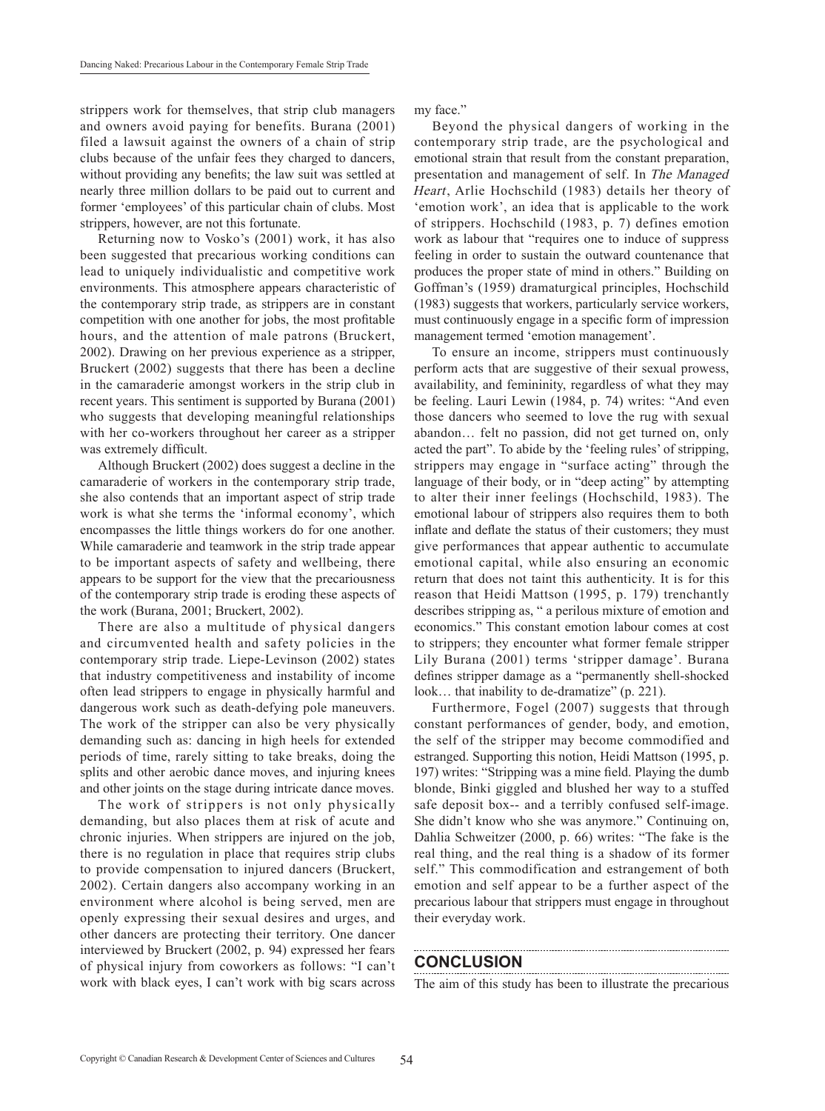strippers work for themselves, that strip club managers and owners avoid paying for benefits. Burana (2001) filed a lawsuit against the owners of a chain of strip clubs because of the unfair fees they charged to dancers, without providing any benefits; the law suit was settled at nearly three million dollars to be paid out to current and former 'employees' of this particular chain of clubs. Most strippers, however, are not this fortunate.

Returning now to Vosko's (2001) work, it has also been suggested that precarious working conditions can lead to uniquely individualistic and competitive work environments. This atmosphere appears characteristic of the contemporary strip trade, as strippers are in constant competition with one another for jobs, the most profitable hours, and the attention of male patrons (Bruckert, 2002). Drawing on her previous experience as a stripper, Bruckert (2002) suggests that there has been a decline in the camaraderie amongst workers in the strip club in recent years. This sentiment is supported by Burana (2001) who suggests that developing meaningful relationships with her co-workers throughout her career as a stripper was extremely difficult.

Although Bruckert (2002) does suggest a decline in the camaraderie of workers in the contemporary strip trade, she also contends that an important aspect of strip trade work is what she terms the 'informal economy', which encompasses the little things workers do for one another. While camaraderie and teamwork in the strip trade appear to be important aspects of safety and wellbeing, there appears to be support for the view that the precariousness of the contemporary strip trade is eroding these aspects of the work (Burana, 2001; Bruckert, 2002).

There are also a multitude of physical dangers and circumvented health and safety policies in the contemporary strip trade. Liepe-Levinson (2002) states that industry competitiveness and instability of income often lead strippers to engage in physically harmful and dangerous work such as death-defying pole maneuvers. The work of the stripper can also be very physically demanding such as: dancing in high heels for extended periods of time, rarely sitting to take breaks, doing the splits and other aerobic dance moves, and injuring knees and other joints on the stage during intricate dance moves.

The work of strippers is not only physically demanding, but also places them at risk of acute and chronic injuries. When strippers are injured on the job, there is no regulation in place that requires strip clubs to provide compensation to injured dancers (Bruckert, 2002). Certain dangers also accompany working in an environment where alcohol is being served, men are openly expressing their sexual desires and urges, and other dancers are protecting their territory. One dancer interviewed by Bruckert (2002, p. 94) expressed her fears of physical injury from coworkers as follows: "I can't work with black eyes, I can't work with big scars across my face."

Beyond the physical dangers of working in the contemporary strip trade, are the psychological and emotional strain that result from the constant preparation, presentation and management of self. In The Managed Heart, Arlie Hochschild (1983) details her theory of 'emotion work', an idea that is applicable to the work of strippers. Hochschild (1983, p. 7) defines emotion work as labour that "requires one to induce of suppress feeling in order to sustain the outward countenance that produces the proper state of mind in others." Building on Goffman's (1959) dramaturgical principles, Hochschild (1983) suggests that workers, particularly service workers, must continuously engage in a specific form of impression management termed 'emotion management'.

To ensure an income, strippers must continuously perform acts that are suggestive of their sexual prowess, availability, and femininity, regardless of what they may be feeling. Lauri Lewin (1984, p. 74) writes: "And even those dancers who seemed to love the rug with sexual abandon… felt no passion, did not get turned on, only acted the part". To abide by the 'feeling rules' of stripping, strippers may engage in "surface acting" through the language of their body, or in "deep acting" by attempting to alter their inner feelings (Hochschild, 1983). The emotional labour of strippers also requires them to both inflate and deflate the status of their customers; they must give performances that appear authentic to accumulate emotional capital, while also ensuring an economic return that does not taint this authenticity. It is for this reason that Heidi Mattson (1995, p. 179) trenchantly describes stripping as, " a perilous mixture of emotion and economics." This constant emotion labour comes at cost to strippers; they encounter what former female stripper Lily Burana (2001) terms 'stripper damage'. Burana defines stripper damage as a "permanently shell-shocked look... that inability to de-dramatize" (p. 221).

Furthermore, Fogel (2007) suggests that through constant performances of gender, body, and emotion, the self of the stripper may become commodified and estranged. Supporting this notion, Heidi Mattson (1995, p. 197) writes: "Stripping was a mine field. Playing the dumb blonde, Binki giggled and blushed her way to a stuffed safe deposit box-- and a terribly confused self-image. She didn't know who she was anymore." Continuing on, Dahlia Schweitzer (2000, p. 66) writes: "The fake is the real thing, and the real thing is a shadow of its former self." This commodification and estrangement of both emotion and self appear to be a further aspect of the precarious labour that strippers must engage in throughout their everyday work.

#### **Conclusion**

The aim of this study has been to illustrate the precarious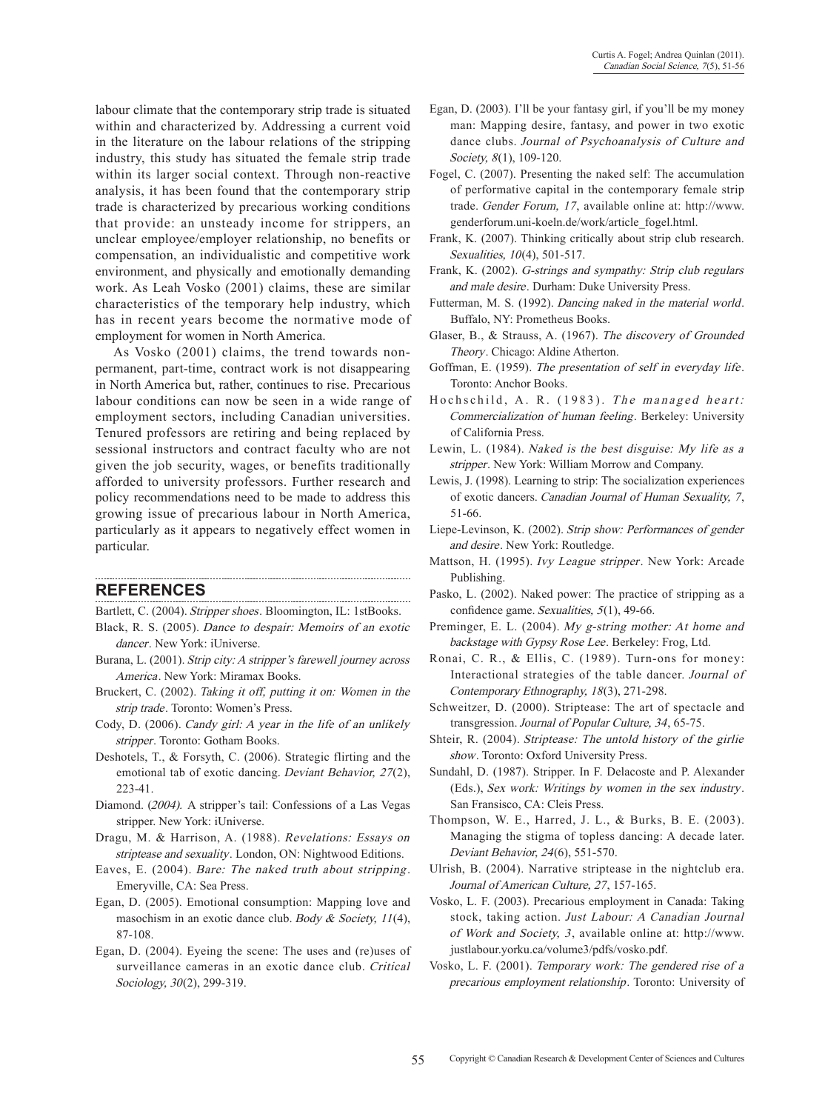labour climate that the contemporary strip trade is situated within and characterized by. Addressing a current void in the literature on the labour relations of the stripping industry, this study has situated the female strip trade within its larger social context. Through non-reactive analysis, it has been found that the contemporary strip trade is characterized by precarious working conditions that provide: an unsteady income for strippers, an unclear employee/employer relationship, no benefits or compensation, an individualistic and competitive work environment, and physically and emotionally demanding work. As Leah Vosko (2001) claims, these are similar characteristics of the temporary help industry, which has in recent years become the normative mode of employment for women in North America.

As Vosko (2001) claims, the trend towards nonpermanent, part-time, contract work is not disappearing in North America but, rather, continues to rise. Precarious labour conditions can now be seen in a wide range of employment sectors, including Canadian universities. Tenured professors are retiring and being replaced by sessional instructors and contract faculty who are not given the job security, wages, or benefits traditionally afforded to university professors. Further research and policy recommendations need to be made to address this growing issue of precarious labour in North America, particularly as it appears to negatively effect women in particular.

### **References**

Bartlett, C. (2004). Stripper shoes. Bloomington, IL: 1stBooks.

- Black, R. S. (2005). Dance to despair: Memoirs of an exotic dancer. New York: iUniverse.
- Burana, L. (2001). Strip city: A stripper's farewell journey across America. New York: Miramax Books.
- Bruckert, C. (2002). Taking it off, putting it on: Women in the strip trade. Toronto: Women's Press.
- Cody, D. (2006). Candy girl: A year in the life of an unlikely stripper. Toronto: Gotham Books.
- Deshotels, T., & Forsyth, C. (2006). Strategic flirting and the emotional tab of exotic dancing. Deviant Behavior, 27(2), 223-41.
- Diamond. (2004). A stripper's tail: Confessions of a Las Vegas stripper. New York: iUniverse.
- Dragu, M. & Harrison, A. (1988). Revelations: Essays on striptease and sexuality. London, ON: Nightwood Editions.
- Eaves, E. (2004). Bare: The naked truth about stripping . Emeryville, CA: Sea Press.
- Egan, D. (2005). Emotional consumption: Mapping love and masochism in an exotic dance club. Body & Society,  $11(4)$ , 87-108.
- Egan, D. (2004). Eyeing the scene: The uses and (re)uses of surveillance cameras in an exotic dance club. Critical Sociology, 30(2), 299-319.
- Egan, D. (2003). I'll be your fantasy girl, if you'll be my money man: Mapping desire, fantasy, and power in two exotic dance clubs. Journal of Psychoanalysis of Culture and Society, 8(1), 109-120.
- Fogel, C. (2007). Presenting the naked self: The accumulation of performative capital in the contemporary female strip trade. Gender Forum, 17, available online at: http://www. genderforum.uni-koeln.de/work/article\_fogel.html.
- Frank, K. (2007). Thinking critically about strip club research. Sexualities, 10(4), 501-517.
- Frank, K. (2002). G-strings and sympathy: Strip club regulars and male desire. Durham: Duke University Press.
- Futterman, M. S. (1992). Dancing naked in the material world. Buffalo, NY: Prometheus Books.
- Glaser, B., & Strauss, A. (1967). The discovery of Grounded Theory. Chicago: Aldine Atherton.
- Goffman, E. (1959). The presentation of self in everyday life. Toronto: Anchor Books.
- Hochschild, A. R.  $(1983)$ . The managed heart: Commercialization of human feeling. Berkeley: University of California Press.
- Lewin, L. (1984). Naked is the best disguise: My life as a stripper. New York: William Morrow and Company.
- Lewis, J. (1998). Learning to strip: The socialization experiences of exotic dancers. Canadian Journal of Human Sexuality, 7, 51-66.
- Liepe-Levinson, K. (2002). Strip show: Performances of gender and desire. New York: Routledge.
- Mattson, H. (1995). Ivy League stripper. New York: Arcade Publishing.
- Pasko, L. (2002). Naked power: The practice of stripping as a confidence game. Sexualities, 5(1), 49-66.
- Preminger, E. L. (2004). My g-string mother: At home and backstage with Gypsy Rose Lee. Berkeley: Frog, Ltd.
- Ronai, C. R., & Ellis, C. (1989). Turn-ons for money: Interactional strategies of the table dancer. Journal of Contemporary Ethnography, 18(3), 271-298.
- Schweitzer, D. (2000). Striptease: The art of spectacle and transgression. Journal of Popular Culture, 34, 65-75.
- Shteir, R. (2004). Striptease: The untold history of the girlie show. Toronto: Oxford University Press.
- Sundahl, D. (1987). Stripper. In F. Delacoste and P. Alexander (Eds.), Sex work: Writings by women in the sex industry. San Fransisco, CA: Cleis Press.
- Thompson, W. E., Harred, J. L., & Burks, B. E. (2003). Managing the stigma of topless dancing: A decade later. Deviant Behavior, 24(6), 551-570.
- Ulrish, B. (2004). Narrative striptease in the nightclub era. Journal of American Culture, 27, 157-165.
- Vosko, L. F. (2003). Precarious employment in Canada: Taking stock, taking action. Just Labour: A Canadian Journal of Work and Society, 3, available online at: http://www. justlabour.yorku.ca/volume3/pdfs/vosko.pdf.
- Vosko, L. F. (2001). Temporary work: The gendered rise of a precarious employment relationship. Toronto: University of